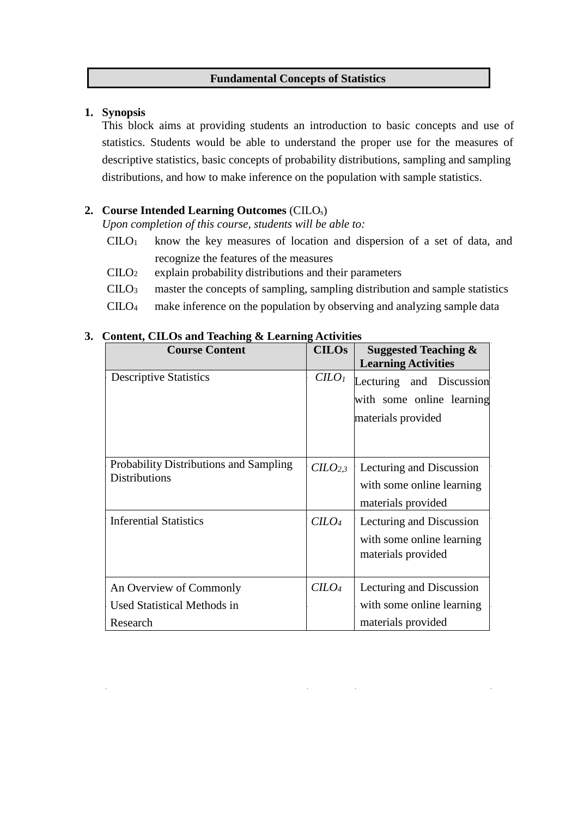#### **Fundamental Concepts of Statistics**

#### **1. Synopsis**

This block aims at providing students an introduction to basic concepts and use of statistics. Students would be able to understand the proper use for the measures of descriptive statistics, basic concepts of probability distributions, sampling and sampling distributions, and how to make inference on the population with sample statistics.

## **2. Course Intended Learning Outcomes** (CILOs)

*Upon completion of this course, students will be able to:* 

- CILO<sup>1</sup> know the key measures of location and dispersion of a set of data, and recognize the features of the measures
- CILO<sup>2</sup> explain probability distributions and their parameters
- CILO<sup>3</sup> master the concepts of sampling, sampling distribution and sample statistics
- CILO<sup>4</sup> make inference on the population by observing and analyzing sample data

| <b>Course Content</b>                                                 | <b>CILOs</b>        | Suggested Teaching $\&$    |  |
|-----------------------------------------------------------------------|---------------------|----------------------------|--|
|                                                                       |                     | <b>Learning Activities</b> |  |
| <b>Descriptive Statistics</b>                                         | $C LO$              | Lecturing and Discussion   |  |
|                                                                       |                     | with some online learning  |  |
|                                                                       | materials provided  |                            |  |
|                                                                       |                     |                            |  |
|                                                                       |                     |                            |  |
| <b>Probability Distributions and Sampling</b><br><b>Distributions</b> | CILO <sub>2,3</sub> | Lecturing and Discussion   |  |
|                                                                       |                     | with some online learning  |  |
|                                                                       |                     | materials provided         |  |
| <b>Inferential Statistics</b>                                         | $C LO4$             | Lecturing and Discussion   |  |
|                                                                       |                     | with some online learning  |  |
|                                                                       |                     | materials provided         |  |
|                                                                       |                     |                            |  |
| An Overview of Commonly                                               | $C$                 | Lecturing and Discussion   |  |
| Used Statistical Methods in                                           |                     | with some online learning  |  |
| Research                                                              |                     | materials provided         |  |

### **3. Content, CILOs and Teaching & Learning Activities**